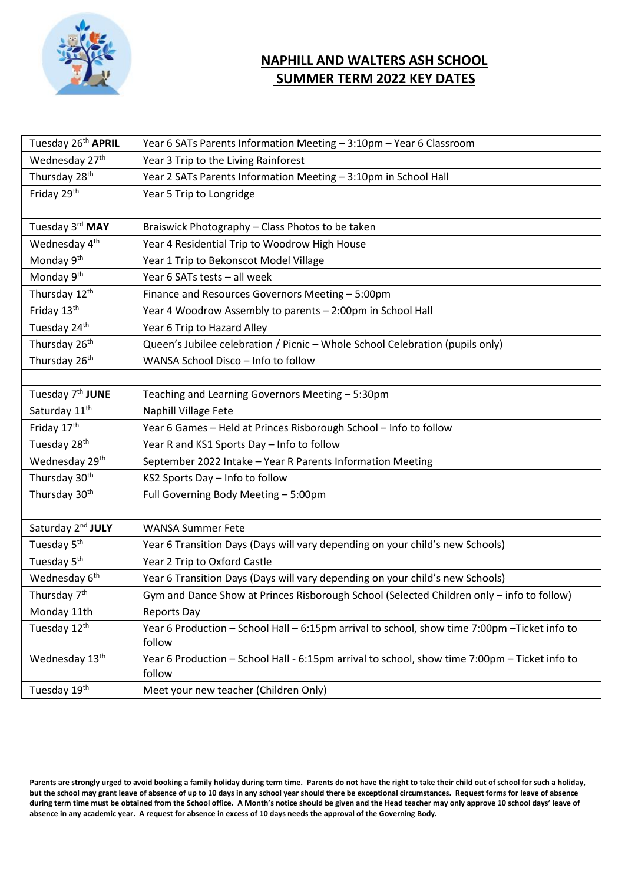

## **NAPHILL AND WALTERS ASH SCHOOL SUMMER TERM 2022 KEY DATES**

| Tuesday 26th APRIL            | Year 6 SATs Parents Information Meeting - 3:10pm - Year 6 Classroom                                     |  |  |
|-------------------------------|---------------------------------------------------------------------------------------------------------|--|--|
| Wednesday 27th                | Year 3 Trip to the Living Rainforest                                                                    |  |  |
| Thursday 28 <sup>th</sup>     | Year 2 SATs Parents Information Meeting - 3:10pm in School Hall                                         |  |  |
| Friday 29th                   | Year 5 Trip to Longridge                                                                                |  |  |
|                               |                                                                                                         |  |  |
| Tuesday 3rd MAY               | Braiswick Photography - Class Photos to be taken                                                        |  |  |
| Wednesday 4 <sup>th</sup>     | Year 4 Residential Trip to Woodrow High House                                                           |  |  |
| Monday 9 <sup>th</sup>        | Year 1 Trip to Bekonscot Model Village                                                                  |  |  |
| Monday 9 <sup>th</sup>        | Year 6 SATs tests - all week                                                                            |  |  |
| Thursday 12 <sup>th</sup>     | Finance and Resources Governors Meeting - 5:00pm                                                        |  |  |
| Friday 13th                   | Year 4 Woodrow Assembly to parents - 2:00pm in School Hall                                              |  |  |
| Tuesday 24 <sup>th</sup>      | Year 6 Trip to Hazard Alley                                                                             |  |  |
| Thursday 26 <sup>th</sup>     | Queen's Jubilee celebration / Picnic - Whole School Celebration (pupils only)                           |  |  |
| Thursday 26 <sup>th</sup>     | WANSA School Disco - Info to follow                                                                     |  |  |
|                               |                                                                                                         |  |  |
| Tuesday 7 <sup>th</sup> JUNE  | Teaching and Learning Governors Meeting - 5:30pm                                                        |  |  |
| Saturday 11 <sup>th</sup>     | Naphill Village Fete                                                                                    |  |  |
| Friday 17th                   | Year 6 Games - Held at Princes Risborough School - Info to follow                                       |  |  |
| Tuesday 28 <sup>th</sup>      | Year R and KS1 Sports Day - Info to follow                                                              |  |  |
| Wednesday 29th                | September 2022 Intake - Year R Parents Information Meeting                                              |  |  |
| Thursday 30 <sup>th</sup>     | KS2 Sports Day - Info to follow                                                                         |  |  |
| Thursday 30 <sup>th</sup>     | Full Governing Body Meeting - 5:00pm                                                                    |  |  |
|                               |                                                                                                         |  |  |
| Saturday 2 <sup>nd</sup> JULY | <b>WANSA Summer Fete</b>                                                                                |  |  |
| Tuesday 5 <sup>th</sup>       | Year 6 Transition Days (Days will vary depending on your child's new Schools)                           |  |  |
| Tuesday 5 <sup>th</sup>       | Year 2 Trip to Oxford Castle                                                                            |  |  |
| Wednesday 6 <sup>th</sup>     | Year 6 Transition Days (Days will vary depending on your child's new Schools)                           |  |  |
| Thursday 7 <sup>th</sup>      | Gym and Dance Show at Princes Risborough School (Selected Children only - info to follow)               |  |  |
| Monday 11th                   | <b>Reports Day</b>                                                                                      |  |  |
| Tuesday 12th                  | Year 6 Production - School Hall - 6:15pm arrival to school, show time 7:00pm - Ticket info to<br>follow |  |  |
| Wednesday 13th                | Year 6 Production - School Hall - 6:15pm arrival to school, show time 7:00pm - Ticket info to<br>follow |  |  |
| Tuesday 19th                  | Meet your new teacher (Children Only)                                                                   |  |  |

Parents are strongly urged to avoid booking a family holiday during term time. Parents do not have the right to take their child out of school for such a holiday, **but the school may grant leave of absence of up to 10 days in any school year should there be exceptional circumstances. Request forms for leave of absence during term time must be obtained from the School office. A Month's notice should be given and the Head teacher may only approve 10 school days' leave of absence in any academic year. A request for absence in excess of 10 days needs the approval of the Governing Body.**